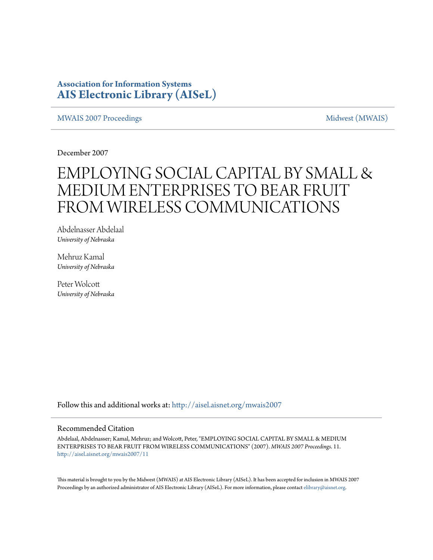### **Association for Information Systems [AIS Electronic Library \(AISeL\)](http://aisel.aisnet.org?utm_source=aisel.aisnet.org%2Fmwais2007%2F11&utm_medium=PDF&utm_campaign=PDFCoverPages)**

[MWAIS 2007 Proceedings](http://aisel.aisnet.org/mwais2007?utm_source=aisel.aisnet.org%2Fmwais2007%2F11&utm_medium=PDF&utm_campaign=PDFCoverPages) and the matrix of the [Midwest \(MWAIS\)](http://aisel.aisnet.org/mwais?utm_source=aisel.aisnet.org%2Fmwais2007%2F11&utm_medium=PDF&utm_campaign=PDFCoverPages)

December 2007

# EMPLOYING SOCIAL CAPITAL BY SMALL & MEDIUM ENTERPRISES TO BEAR FRUIT FROM WIRELESS COMMUNICATIONS

Abdelnasser Abdelaal *University of Nebraska*

Mehruz Kamal *University of Nebraska*

Peter Wolcott *University of Nebraska*

Follow this and additional works at: [http://aisel.aisnet.org/mwais2007](http://aisel.aisnet.org/mwais2007?utm_source=aisel.aisnet.org%2Fmwais2007%2F11&utm_medium=PDF&utm_campaign=PDFCoverPages)

#### Recommended Citation

Abdelaal, Abdelnasser; Kamal, Mehruz; and Wolcott, Peter, "EMPLOYING SOCIAL CAPITAL BY SMALL & MEDIUM ENTERPRISES TO BEAR FRUIT FROM WIRELESS COMMUNICATIONS" (2007). *MWAIS 2007 Proceedings*. 11. [http://aisel.aisnet.org/mwais2007/11](http://aisel.aisnet.org/mwais2007/11?utm_source=aisel.aisnet.org%2Fmwais2007%2F11&utm_medium=PDF&utm_campaign=PDFCoverPages)

This material is brought to you by the Midwest (MWAIS) at AIS Electronic Library (AISeL). It has been accepted for inclusion in MWAIS 2007 Proceedings by an authorized administrator of AIS Electronic Library (AISeL). For more information, please contact [elibrary@aisnet.org](mailto:elibrary@aisnet.org%3E).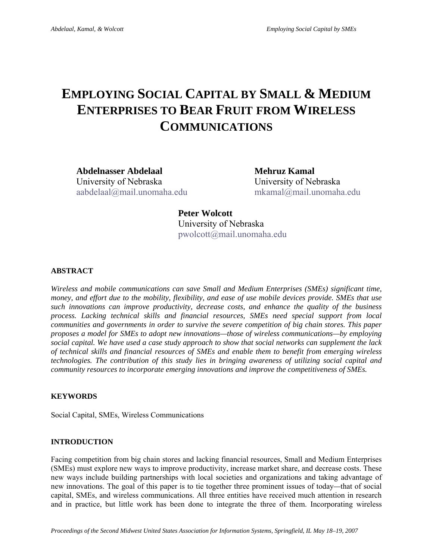## **EMPLOYING SOCIAL CAPITAL BY SMALL & MEDIUM ENTERPRISES TO BEAR FRUIT FROM WIRELESS COMMUNICATIONS**

Abdelnasser Abdelaal **Mehruz Kamal** University of Nebraska University of Nebraska aabdelaal@mail.unomaha.edu mkamal@mail.unomaha.edu

**Peter Wolcott**  University of Nebraska pwolcott@mail.unomaha.edu

#### **ABSTRACT**

*Wireless and mobile communications can save Small and Medium Enterprises (SMEs) significant time, money, and effort due to the mobility, flexibility, and ease of use mobile devices provide. SMEs that use such innovations can improve productivity, decrease costs, and enhance the quality of the business process. Lacking technical skills and financial resources, SMEs need special support from local communities and governments in order to survive the severe competition of big chain stores. This paper proposes a model for SMEs to adopt new innovations—those of wireless communications—by employing social capital. We have used a case study approach to show that social networks can supplement the lack of technical skills and financial resources of SMEs and enable them to benefit from emerging wireless technologies. The contribution of this study lies in bringing awareness of utilizing social capital and community resources to incorporate emerging innovations and improve the competitiveness of SMEs.* 

#### **KEYWORDS**

Social Capital, SMEs, Wireless Communications

#### **INTRODUCTION**

Facing competition from big chain stores and lacking financial resources, Small and Medium Enterprises (SMEs) must explore new ways to improve productivity, increase market share, and decrease costs. These new ways include building partnerships with local societies and organizations and taking advantage of new innovations. The goal of this paper is to tie together three prominent issues of today*—*that of social capital, SMEs, and wireless communications. All three entities have received much attention in research and in practice, but little work has been done to integrate the three of them. Incorporating wireless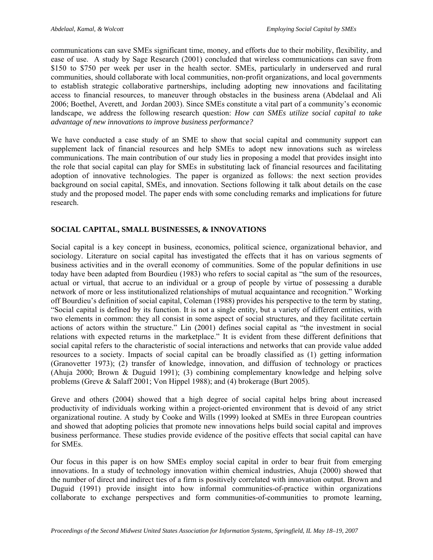communications can save SMEs significant time, money, and efforts due to their mobility, flexibility, and ease of use. A study by Sage Research (2001) concluded that wireless communications can save from \$150 to \$750 per week per user in the health sector. SMEs, particularly in underserved and rural communities, should collaborate with local communities, non-profit organizations, and local governments to establish strategic collaborative partnerships, including adopting new innovations and facilitating access to financial resources, to maneuver through obstacles in the business arena (Abdelaal and Ali 2006; Boethel, Averett, and Jordan 2003). Since SMEs constitute a vital part of a community's economic landscape, we address the following research question: *How can SMEs utilize social capital to take advantage of new innovations to improve business performance?*

We have conducted a case study of an SME to show that social capital and community support can supplement lack of financial resources and help SMEs to adopt new innovations such as wireless communications. The main contribution of our study lies in proposing a model that provides insight into the role that social capital can play for SMEs in substituting lack of financial resources and facilitating adoption of innovative technologies. The paper is organized as follows: the next section provides background on social capital, SMEs, and innovation. Sections following it talk about details on the case study and the proposed model. The paper ends with some concluding remarks and implications for future research.

#### **SOCIAL CAPITAL, SMALL BUSINESSES, & INNOVATIONS**

Social capital is a key concept in business, economics, political science, organizational behavior, and sociology. Literature on social capital has investigated the effects that it has on various segments of business activities and in the overall economy of communities. Some of the popular definitions in use today have been adapted from Bourdieu (1983) who refers to social capital as "the sum of the resources, actual or virtual, that accrue to an individual or a group of people by virtue of possessing a durable network of more or less institutionalized relationships of mutual acquaintance and recognition." Working off Bourdieu's definition of social capital, Coleman (1988) provides his perspective to the term by stating, "Social capital is defined by its function. It is not a single entity, but a variety of different entities, with two elements in common: they all consist in some aspect of social structures, and they facilitate certain actions of actors within the structure." Lin (2001) defines social capital as "the investment in social relations with expected returns in the marketplace." It is evident from these different definitions that social capital refers to the characteristic of social interactions and networks that can provide value added resources to a society. Impacts of social capital can be broadly classified as (1) getting information (Granovetter 1973); (2) transfer of knowledge, innovation, and diffusion of technology or practices (Ahuja 2000; Brown & Duguid 1991); (3) combining complementary knowledge and helping solve problems (Greve & Salaff 2001; Von Hippel 1988); and (4) brokerage (Burt 2005).

Greve and others (2004) showed that a high degree of social capital helps bring about increased productivity of individuals working within a project-oriented environment that is devoid of any strict organizational routine. A study by Cooke and Wills (1999) looked at SMEs in three European countries and showed that adopting policies that promote new innovations helps build social capital and improves business performance. These studies provide evidence of the positive effects that social capital can have for SMEs.

Our focus in this paper is on how SMEs employ social capital in order to bear fruit from emerging innovations. In a study of technology innovation within chemical industries, Ahuja (2000) showed that the number of direct and indirect ties of a firm is positively correlated with innovation output. Brown and Duguid (1991) provide insight into how informal communities-of-practice within organizations collaborate to exchange perspectives and form communities-of-communities to promote learning,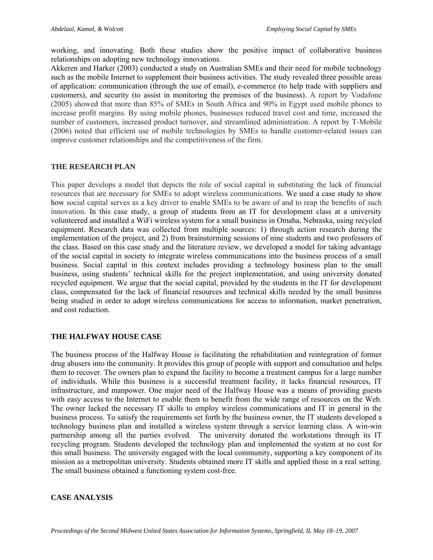working, and innovating. Both these studies show the positive impact of collaborative business relationships on adopting new technology innovations.

Akkeren and Harker (2003) conducted a study on Australian SMEs and their need for mobile technology such as the mobile Internet to supplement their business activities. The study revealed three possible areas of application: communication (through the use of email), e-commerce (to help trade with suppliers and customers), and security (to assist in monitoring the premises of the business). A report by Vodafone (2005) showed that more than 85% of SMEs in South Africa and 90% in Egypt used mobile phones to increase profit margins. By using mobile phones, businesses reduced travel cost and time, increased the number of customers, increased product turnover, and streamlined administration. A report by T-Mobile (2006) noted that efficient use of mobile technologies by SMEs to handle customer-related issues can improve customer relationships and the competitiveness of the firm.

#### **THE RESEARCH PLAN**

This paper develops a model that depicts the role of social capital in substituting the lack of financial resources that are necessary for SMEs to adopt wireless communications. We used a case study to show how social capital serves as a key driver to enable SMEs to be aware of and to reap the benefits of such innovation. In this case study, a group of students from an IT for development class at a university volunteered and installed a WiFi wireless system for a small business in Omaha, Nebraska, using recycled equipment. Research data was collected from multiple sources: 1) through action research during the implementation of the project, and 2) from brainstorming sessions of nine students and two professors of the class. Based on this case study and the literature review, we developed a model for taking advantage of the social capital in society to integrate wireless communications into the business process of a small business. Social capital in this context includes providing a technology business plan to the small business, using students' technical skills for the project implementation, and using university donated recycled equipment. We argue that the social capital, provided by the students in the IT for development class, compensated for the lack of financial resources and technical skills needed by the small business being studied in order to adopt wireless communications for access to information, market penetration, and cost reduction.

#### **THE HALFWAY HOUSE CASE**

The business process of the Halfway House is facilitating the rehabilitation and reintegration of former drug abusers into the community. It provides this group of people with support and consultation and helps them to recover. The owners plan to expand the facility to become a treatment campus for a large number of individuals. While this business is a successful treatment facility, it lacks financial resources, IT infrastructure, and manpower. One major need of the Halfway House was a means of providing guests with easy access to the Internet to enable them to benefit from the wide range of resources on the Web. The owner lacked the necessary IT skills to employ wireless communications and IT in general in the business process. To satisfy the requirements set forth by the business owner, the IT students developed a technology business plan and installed a wireless system through a service learning class. A win-win partnership among all the parties evolved. The university donated the workstations through its IT recycling program. Students developed the technology plan and implemented the system at no cost for this small business. The university engaged with the local community, supporting a key component of its mission as a metropolitan university. Students obtained more IT skills and applied those in a real setting. The small business obtained a functioning system cost-free.

#### **CASE ANALYSIS**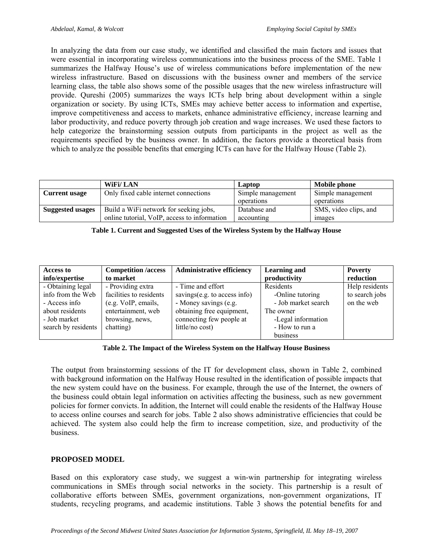In analyzing the data from our case study, we identified and classified the main factors and issues that were essential in incorporating wireless communications into the business process of the SME. Table 1 summarizes the Halfway House's use of wireless communications before implementation of the new wireless infrastructure. Based on discussions with the business owner and members of the service learning class, the table also shows some of the possible usages that the new wireless infrastructure will provide. Qureshi (2005) summarizes the ways ICTs help bring about development within a single organization or society. By using ICTs, SMEs may achieve better access to information and expertise, improve competitiveness and access to markets, enhance administrative efficiency, increase learning and labor productivity, and reduce poverty through job creation and wage increases. We used these factors to help categorize the brainstorming session outputs from participants in the project as well as the requirements specified by the business owner. In addition, the factors provide a theoretical basis from which to analyze the possible benefits that emerging ICTs can have for the Halfway House (Table 2).

|                         | <b>WiFi/LAN</b>                              | Laptop            | Mobile phone          |
|-------------------------|----------------------------------------------|-------------------|-----------------------|
| <b>Current usage</b>    | Only fixed cable internet connections        | Simple management | Simple management     |
|                         |                                              | operations        | operations            |
| <b>Suggested usages</b> | Build a WiFi network for seeking jobs,       | Database and      | SMS, video clips, and |
|                         | online tutorial, VoIP, access to information | accounting        | images                |

| Table 1. Current and Suggested Uses of the Wireless System by the Halfway House |  |
|---------------------------------------------------------------------------------|--|
|                                                                                 |  |

| Access to           | <b>Competition</b> /access | <b>Administrative efficiency</b> | <b>Learning and</b> | <b>Poverty</b> |
|---------------------|----------------------------|----------------------------------|---------------------|----------------|
| info/expertise      | to market                  |                                  | productivity        | reduction      |
| - Obtaining legal   | - Providing extra          | - Time and effort                | Residents           | Help residents |
| info from the Web   | facilities to residents    | savings $(e.g. to access info)$  | -Online tutoring    | to search jobs |
| - Access info       | (e.g. VoIP, emails,        | - Money savings (e.g.            | - Job market search | on the web     |
| about residents     | entertainment, web         | obtaining free equipment,        | The owner           |                |
| - Job market        | browsing, news,            | connecting few people at         | -Legal information  |                |
| search by residents | chatting)                  | little/no cost)                  | - How to run a      |                |
|                     |                            |                                  | business            |                |

#### **Table 2. The Impact of the Wireless System on the Halfway House Business**

The output from brainstorming sessions of the IT for development class, shown in Table 2, combined with background information on the Halfway House resulted in the identification of possible impacts that the new system could have on the business. For example, through the use of the Internet, the owners of the business could obtain legal information on activities affecting the business, such as new government policies for former convicts. In addition, the Internet will could enable the residents of the Halfway House to access online courses and search for jobs. Table 2 also shows administrative efficiencies that could be achieved. The system also could help the firm to increase competition, size, and productivity of the business.

#### **PROPOSED MODEL**

Based on this exploratory case study, we suggest a win-win partnership for integrating wireless communications in SMEs through social networks in the society. This partnership is a result of collaborative efforts between SMEs, government organizations, non-government organizations, IT students, recycling programs, and academic institutions. Table 3 shows the potential benefits for and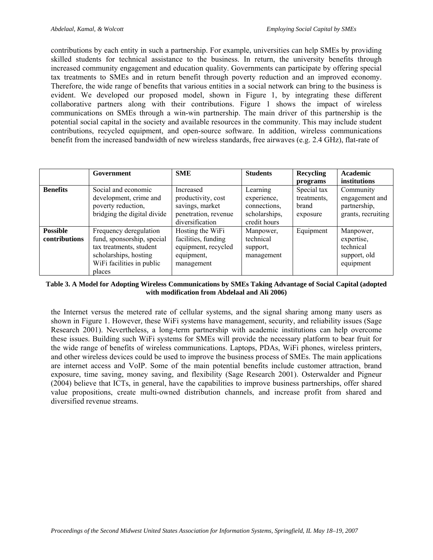contributions by each entity in such a partnership. For example, universities can help SMEs by providing skilled students for technical assistance to the business. In return, the university benefits through increased community engagement and education quality. Governments can participate by offering special tax treatments to SMEs and in return benefit through poverty reduction and an improved economy. Therefore, the wide range of benefits that various entities in a social network can bring to the business is evident. We developed our proposed model, shown in Figure 1, by integrating these different collaborative partners along with their contributions. Figure 1 shows the impact of wireless communications on SMEs through a win-win partnership. The main driver of this partnership is the potential social capital in the society and available resources in the community. This may include student contributions, recycled equipment, and open-source software. In addition, wireless communications benefit from the increased bandwidth of new wireless standards, free airwaves (e.g. 2.4 GHz), flat-rate of

|                                  | Government                                                                                                                                      | <b>SME</b>                                                                                    | <b>Students</b>                                                          | Recycling<br>programs                           | Academic<br>institutions                                          |
|----------------------------------|-------------------------------------------------------------------------------------------------------------------------------------------------|-----------------------------------------------------------------------------------------------|--------------------------------------------------------------------------|-------------------------------------------------|-------------------------------------------------------------------|
| <b>Benefits</b>                  | Social and economic<br>development, crime and<br>poverty reduction,<br>bridging the digital divide                                              | Increased<br>productivity, cost<br>savings, market<br>penetration, revenue<br>diversification | Learning<br>experience,<br>connections,<br>scholarships,<br>credit hours | Special tax<br>treatments.<br>brand<br>exposure | Community<br>engagement and<br>partnership,<br>grants, recruiting |
| <b>Possible</b><br>contributions | Frequency deregulation<br>fund, sponsorship, special<br>tax treatments, student<br>scholarships, hosting<br>WiFi facilities in public<br>places | Hosting the WiFi<br>facilities, funding<br>equipment, recycled<br>equipment,<br>management    | Manpower,<br>technical<br>support,<br>management                         | Equipment                                       | Manpower,<br>expertise,<br>technical<br>support, old<br>equipment |

#### **Table 3. A Model for Adopting Wireless Communications by SMEs Taking Advantage of Social Capital (adopted with modification from Abdelaal and Ali 2006)**

the Internet versus the metered rate of cellular systems, and the signal sharing among many users as shown in Figure 1. However, these WiFi systems have management, security, and reliability issues (Sage Research 2001). Nevertheless, a long-term partnership with academic institutions can help overcome these issues. Building such WiFi systems for SMEs will provide the necessary platform to bear fruit for the wide range of benefits of wireless communications. Laptops, PDAs, WiFi phones, wireless printers, and other wireless devices could be used to improve the business process of SMEs. The main applications are internet access and VoIP. Some of the main potential benefits include customer attraction, brand exposure, time saving, money saving, and flexibility (Sage Research 2001). Osterwalder and Pigneur (2004) believe that ICTs, in general, have the capabilities to improve business partnerships, offer shared value propositions, create multi-owned distribution channels, and increase profit from shared and diversified revenue streams.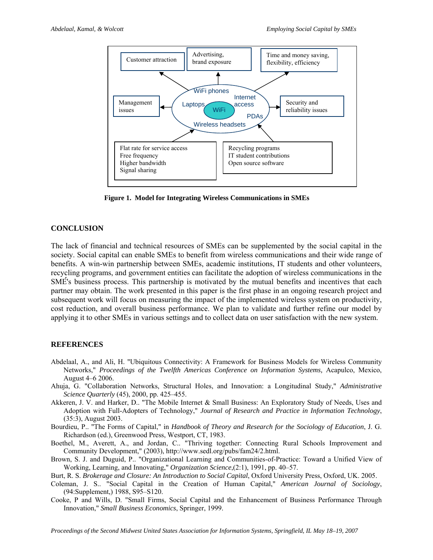

**Figure 1. Model for Integrating Wireless Communications in SMEs** 

#### **CONCLUSION**

The lack of financial and technical resources of SMEs can be supplemented by the social capital in the society. Social capital can enable SMEs to benefit from wireless communications and their wide range of benefits. A win-win partnership between SMEs, academic institutions, IT students and other volunteers, recycling programs, and government entities can facilitate the adoption of wireless communications in the SMÉ's business process. This partnership is motivated by the mutual benefits and incentives that each partner may obtain. The work presented in this paper is the first phase in an ongoing research project and subsequent work will focus on measuring the impact of the implemented wireless system on productivity, cost reduction, and overall business performance. We plan to validate and further refine our model by applying it to other SMEs in various settings and to collect data on user satisfaction with the new system.

#### **REFERENCES**

- Abdelaal, A., and Ali, H. "Ubiquitous Connectivity: A Framework for Business Models for Wireless Community Networks," *Proceedings of the Twelfth Americas Conference on Information Systems,* Acapulco, Mexico, August 4–6 2006.
- Ahuja, G. "Collaboration Networks, Structural Holes, and Innovation: a Longitudinal Study," *Administrative Science Quarterly* (45), 2000, pp. 425–455.
- Akkeren, J. V. and Harker, D.. "The Mobile Internet & Small Business: An Exploratory Study of Needs, Uses and Adoption with Full-Adopters of Technology," *Journal of Research and Practice in Information Technology*, (35:3), August 2003.

Bourdieu, P.. "The Forms of Capital," in *Handbook of Theory and Research for the Sociology of Education*, J. G. Richardson (ed.), Greenwood Press, Westport, CT, 1983.

- Boethel, M., Averett, A., and Jordan, C.. "Thriving together: Connecting Rural Schools Improvement and Community Development," (2003), http://www.sedl.org/pubs/fam24/2.html.
- Brown, S. J. and Duguid, P.. "Organizational Learning and Communities-of-Practice: Toward a Unified View of Working, Learning, and Innovating," *Organization Science*,(2:1), 1991, pp. 40–57.
- Burt, R. S. *Brokerage and Closure: An Introduction to Social Capital*, Oxford University Press, Oxford, UK. 2005.
- Coleman, J. S.. "Social Capital in the Creation of Human Capital," *American Journal of Sociology*, (94:Supplement,) 1988, S95–S120.
- Cooke, P and Wills, D. "Small Firms, Social Capital and the Enhancement of Business Performance Through Innovation," *Small Business Economics*, Springer, 1999.